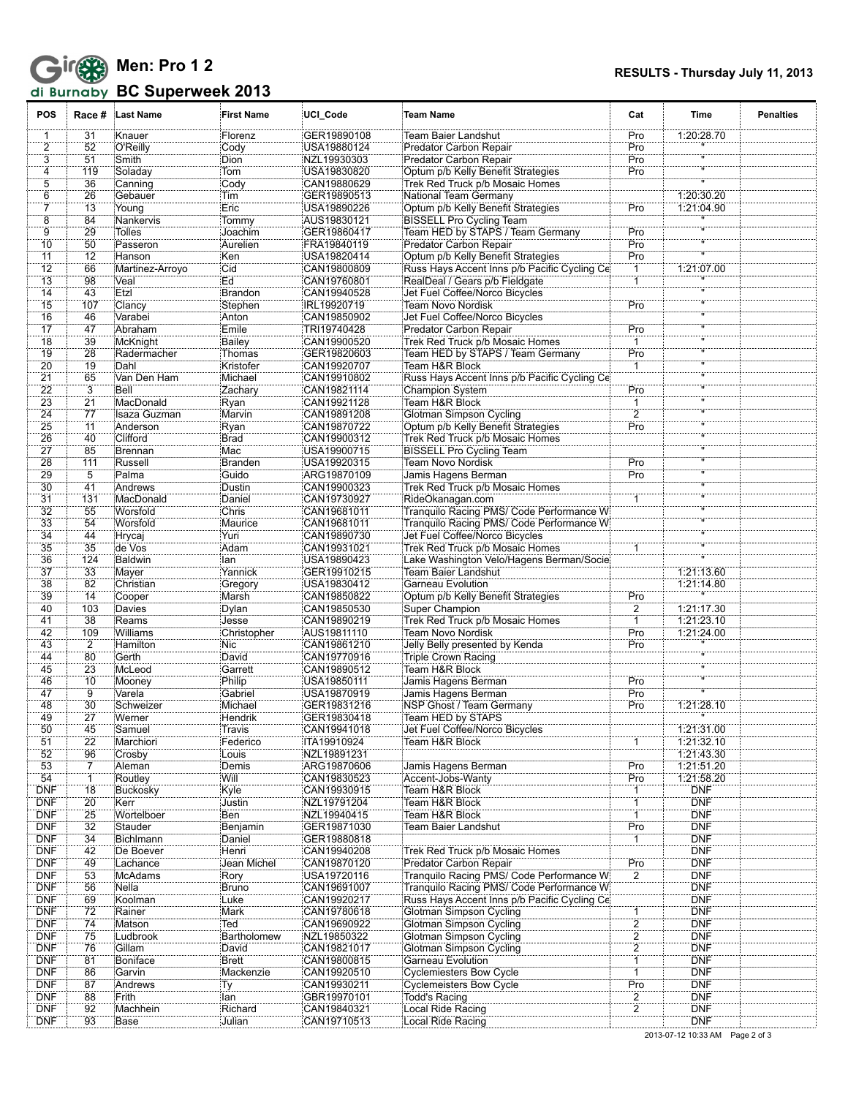

## **BC Superweek 2013**

| <b>POS</b>            |                      | Race # Last Name         | <b>First Name</b>  | UCI_Code                   | Team Name                                                                   | Cat            | Time                     | <b>Penalties</b> |
|-----------------------|----------------------|--------------------------|--------------------|----------------------------|-----------------------------------------------------------------------------|----------------|--------------------------|------------------|
| 1                     | 31                   | Knauer                   | Florenz            | GER19890108                | Team Baier Landshut                                                         | Pro            | 1:20:28.70               |                  |
| 2                     | 52                   | O'Reilly                 | Cody               | USA19880124                | Predator Carbon Repair                                                      | Pro            |                          |                  |
| 3                     | 51                   | Smith                    | <b>Dion</b>        | NZL19930303                | Predator Carbon Repair                                                      | Pro            |                          |                  |
| $\overline{4}$        | 119                  | Soladay                  | Tom <sup>1</sup>   | USA19830820                | Optum p/b Kelly Benefit Strategies                                          | Pro            |                          |                  |
| $\overline{5}$        | 36                   | Canning                  | Cody               | CAN19880629                | Trek Red Truck p/b Mosaic Homes                                             |                |                          |                  |
| ő                     | 26                   | Gebauer                  | Tim                | GER19890513                | National Team Germany                                                       |                | 1:20:30.20               |                  |
| 7                     | 13                   | Young                    | Eric               | USA19890226                | Optum p/b Kelly Benefit Strategies                                          | Pro            | 1:21:04.90               |                  |
| 8<br>9                | 84<br>29             | Nankervis<br>Tolles      | Tommy<br>Joachim   | AUS19830121<br>GER19860417 | <b>BISSELL Pro Cycling Team</b><br>Team HED by STAPS / Team Germany         | Pro            |                          |                  |
| $\overline{10}$       | 50                   | Passeron                 | Aurelien           | FRA19840119                | Predator Carbon Repair                                                      | Pro            |                          |                  |
| 11                    | 12                   | Hanson                   | Ken                | USA19820414                | Optum p/b Kelly Benefit Strategies                                          | Pro            |                          |                  |
| 12                    | 66                   | Martinez-Arroyo          | Cid                | CAN19800809                | Russ Hays Accent Inns p/b Pacific Cycling Ce                                | $\mathbf{1}$   | 1:21:07.00               |                  |
| 13                    | 98                   | :Veal                    | Ed                 | CAN19760801                | RealDeal / Gears p/b Fieldgate                                              | $\mathbf{1}$   |                          |                  |
| $\overline{14}$       | 43                   | Etzl                     | Brandon            | CAN19940528                | Jet Fuel Coffee/Norco Bicycles                                              |                |                          |                  |
| 15                    | 107                  | Clancy                   | Stephen            | IRL19920719                | Team Novo Nordisk                                                           | Pro            |                          |                  |
| 16                    | 46                   | Varabei                  | Anton              | CAN19850902                | Jet Fuel Coffee/Norco Bicycles                                              |                |                          |                  |
| 17                    | 47                   | Abraham                  | Emile              | TRI19740428                | Predator Carbon Repair                                                      | Pro            |                          |                  |
| $\overline{18}$       | 39                   | McKnight                 | Bailey             | CAN19900520                | Trek Red Truck p/b Mosaic Homes                                             | ï              |                          |                  |
| $\overline{19}$       | 28                   | Radermacher              | Thomas             | GER19820603                | Team HED by STAPS / Team Germany                                            | Pro            |                          |                  |
| 20                    | 19                   | Dahl                     | Kristofer          | CAN19920707                | Team H&R Block                                                              | 1              |                          |                  |
| 21<br>$\overline{22}$ | 65<br>3              | Van Den Ham<br>Bell      | Michael<br>Zachary | CAN19910802<br>CAN19821114 | Russ Hays Accent Inns p/b Pacific Cycling Ce<br>Champion System             | Pro            |                          |                  |
| 23                    | $\overline{21}$      | MacDonald                | Ryan               | CAN19921128                | Team H&R Block                                                              |                |                          |                  |
| 24                    | 77                   | Isaza Guzman             | Marvin             | CAN19891208                | Glotman Simpson Cycling                                                     | $\overline{2}$ |                          |                  |
| 25                    | 11                   | Anderson                 | Ryan               | CAN19870722                | Optum p/b Kelly Benefit Strategies                                          | Pro            |                          |                  |
| 26                    | 40                   | Clifford                 | Brad               | CAN19900312                | Trek Red Truck p/b Mosaic Homes                                             |                |                          |                  |
| 27                    | 85                   | Brennan                  | Mac                | USA19900715                | <b>BISSELL Pro Cycling Team</b>                                             |                |                          |                  |
| 28                    | 111                  | Russell                  | Branden            | USA19920315                | Team Novo Nordisk                                                           | Pro            |                          |                  |
| 29                    | 5                    | Palma                    | Guido              | ARG19870109                | Jamis Hagens Berman                                                         | Pro            |                          |                  |
| $\overline{30}$       | 41                   | Andrews                  | Dustin             | CAN19900323                | Trek Red Truck p/b Mosaic Homes                                             |                |                          |                  |
| $\overline{31}$       | 131                  | :MacDonald               | Daniel             | CAN19730927                | RideOkanagan.com                                                            |                |                          |                  |
| 32                    | 55                   | Worsfold                 | Chris              | CAN19681011                | Tranquilo Racing PMS/ Code Performance W                                    |                |                          |                  |
| 33                    | 54                   | Worsfold                 | Maurice            | CAN19681011                | Tranquilo Racing PMS/ Code Performance W                                    |                |                          |                  |
| 34                    | 44                   | Hrycaj                   | Yuri               | CAN19890730                | Jet Fuel Coffee/Norco Bicycles                                              |                |                          |                  |
| $\overline{35}$<br>36 | 35<br>124            | de Vos<br><b>Baldwin</b> | Adam<br>lan        | CAN19931021<br>USA19890423 | Trek Red Truck p/b Mosaic Homes<br>Lake Washington Velo/Hagens Berman/Socie |                |                          |                  |
| 37                    | 33                   | Mayer                    | Yannick            | GER19910215                | Team Baier Landshut                                                         |                | 1:21:13.60               |                  |
| 38                    | 82                   | Christian                | Gregory            | USA19830412                | Garneau Evolution                                                           |                | 1:21:14.80               |                  |
| 39                    | 14                   | Cooper                   | Marsh              | CAN19850822                | Optum p/b Kelly Benefit Strategies                                          | Pro            |                          |                  |
| 40                    | 103                  | Davies                   | Dylan              | CAN19850530                | Super Champion                                                              | $\overline{2}$ | 1:21:17.30               |                  |
| 41                    | 38                   | Reams                    | Jesse              | CAN19890219                | Trek Red Truck p/b Mosaic Homes                                             | 1              | 1:21:23.10               |                  |
| 42                    | 109                  | <b>Williams</b>          | Christopher        | AUS19811110                | <b>Team Novo Nordisk</b>                                                    | Pro            | 1:21:24.00               |                  |
| 43                    | $\overline{2}$       | Hamilton                 | <b>Nic</b>         | CAN19861210                | Jelly Belly presented by Kenda                                              | Pro            |                          |                  |
| 44                    | 80                   | Gerth                    | David              | CAN19770916                | Triple Crown Racing                                                         |                |                          |                  |
| 45                    | 23                   | McLeod                   | Garrett            | CAN19890512                | Team H&R Block                                                              |                |                          |                  |
| 46                    | 10                   | Mooney                   | Philip             | USA19850111                | Jamis Hagens Berman                                                         | Pro            |                          |                  |
| 47<br>48              | $\overline{9}$<br>30 | Varela                   | Gabriel            | USA19870919                | Jamis Hagens Berman<br>NSP Ghost / Team Germany                             | Pro            | 1:21:28.10               |                  |
| 49                    | 27                   | Schweizer<br>Werner      | Michael<br>Hendrik | GER19831216<br>GER19830418 | Team HED by STAPS                                                           | Pro            |                          |                  |
| 50                    | 45                   | Samuel                   | Travis             | CAN19941018                | Jet Fuel Coffee/Norco Bicycles                                              |                | 1:21:31.00               |                  |
| 51                    | 22                   | Marchiori                | Federico           | ITA19910924                | Team H&R Block                                                              | 1              | 1:21:32.10               |                  |
| 52                    | 96                   | Crosby                   | Louis              | NZL19891231                |                                                                             |                | 1:21:43.30               |                  |
| 53                    | 7                    | Aleman                   | Demis              | ARG19870606                | Jamis Hagens Berman                                                         | Pro            | 1:21:51.20               |                  |
| 54                    | 1                    | Routley                  | Will               | CAN19830523                | Accent-Jobs-Wanty                                                           | Pro            | 1:21:58.20               |                  |
| <b>DNF</b>            | 18                   | Buckosky                 | Kyle               | CAN19930915                | Team H&R Block                                                              | 1              | <b>DNF</b>               |                  |
| <b>DNF</b>            | $\overline{20}$      | Kerr                     | Justin             | NZL19791204                | Team H&R Block                                                              |                | <b>DNF</b>               |                  |
| <b>DNF</b>            | 25                   | <b>Wortelboer</b>        | Ben                | NZL19940415                | Team H&R Block                                                              |                | <b>DNF</b>               |                  |
| <b>DNF</b>            | 32                   | Stauder                  | Benjamin           | GER19871030                | Team Baier Landshut                                                         | Pro            | <b>DNF</b>               |                  |
| <b>DNF</b><br>DNF     | 34<br>42             | <b>Bichlmann</b>         | Daniel<br>Henri    | GER19880818                | Trek Red Truck p/b Mosaic Homes                                             | 1              | <b>DNF</b><br><b>DNF</b> |                  |
| <b>DNF</b>            | 49                   | De Boever<br>Lachance    | Jean Michel        | CAN19940208<br>CAN19870120 | Predator Carbon Repair                                                      | Pro            | <b>DNF</b>               |                  |
| <b>DNF</b>            | 53                   | McAdams                  | Rory               | USA19720116                | Tranquilo Racing PMS/ Code Performance Wi                                   | $\overline{2}$ | <b>DNF</b>               |                  |
| <b>DNF</b>            | 56                   | Nella                    | Bruno              | CAN19691007                | Tranquilo Racing PMS/ Code Performance Wi                                   |                | <b>DNF</b>               |                  |
| <b>DNF</b>            | 69                   | Koolman                  | Luke               | CAN19920217                | Russ Hays Accent Inns p/b Pacific Cycling Ce                                |                | <b>DNF</b>               |                  |
| <b>DNF</b>            | 72                   | Rainer                   | Mark               | CAN19780618                | Glotman Simpson Cycling                                                     |                | <b>DNF</b>               |                  |
| <b>DNF</b>            | 74                   | Matson                   | Ted                | CAN19690922                | Glotman Simpson Cycling                                                     | $\overline{2}$ | <b>DNF</b>               |                  |
| <b>DNF</b>            | 75                   | Ludbrook                 | Bartholomew        | NZL19850322                | Glotman Simpson Cycling                                                     | $\frac{2}{2}$  | <b>DNF</b>               |                  |
| <b>DNF</b>            | 76                   | Gillam                   | David              | CAN19821017                | Glotman Simpson Cycling                                                     |                | <b>DNF</b>               |                  |
| <b>DNF</b>            | 81                   | Boniface                 | Brett              | CAN19800815                | Garneau Evolution                                                           |                | <b>DNF</b>               |                  |
| <b>DNF</b>            | 86                   | Garvin                   | Mackenzie          | CAN19920510                | Cyclemiesters Bow Cycle                                                     | ï              | <b>DNF</b>               |                  |
| <b>DNF</b>            | 87                   | Andrews                  | Ty                 | CAN19930211                | Cyclemeisters Bow Cycle                                                     | Pro            | <b>DNF</b>               |                  |
| <b>DNF</b><br>DNF     | 88                   | Frith                    | lan                | GBR19970101                | Todd's Racing                                                               | $\frac{2}{2}$  | <b>DNF</b><br><b>DNF</b> |                  |
| <b>DNF</b>            | 92<br>93             | Machhein<br>Base         | Richard<br>Julian  | CAN19840321<br>CAN19710513 | Local Ride Racing<br>Local Ride Racing                                      |                | <b>DNF</b>               |                  |
|                       |                      |                          |                    |                            |                                                                             |                |                          |                  |

2013-07-12 10:33 AM Page 2 of 3